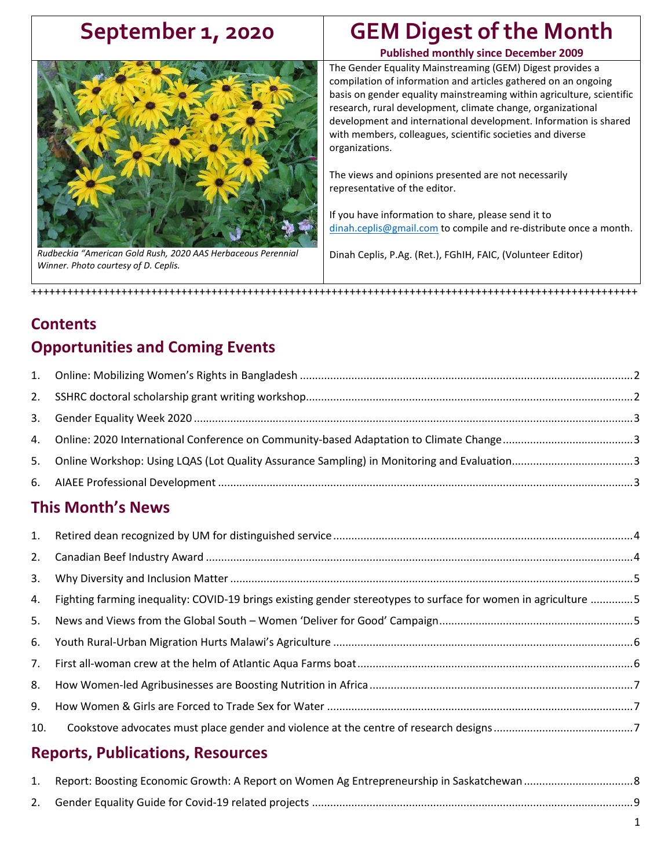### **September 1, 2020 GEM Digest of the Month Published monthly since December 2009**

<span id="page-0-0"></span>

*Rudbeckia "American Gold Rush, 2020 AAS Herbaceous Perennial Winner. Photo courtesy of D. Ceplis.*

The Gender Equality Mainstreaming (GEM) Digest provides a compilation of information and articles gathered on an ongoing basis on gender equality mainstreaming within agriculture, scientific research, rural development, climate change, organizational development and international development. Information is shared with members, colleagues, scientific societies and diverse organizations.

The views and opinions presented are not necessarily representative of the editor.

If you have information to share, please send it to [dinah.ceplis@gmail.com](mailto:dinah.ceplis@gmail.com) to compile and re-distribute once a month.

Dinah Ceplis, P.Ag. (Ret.), FGhIH, FAIC, (Volunteer Editor)

# **Contents Opportunities and Coming Events**

+++++++++++++++++++++++++++++++++++++++++++++++++++++++++++++++++++++++++++++++++++++++++++++++++++++

### **This Month's News**

| 3.  |                                                                                                                   |  |
|-----|-------------------------------------------------------------------------------------------------------------------|--|
|     | 4. Fighting farming inequality: COVID-19 brings existing gender stereotypes to surface for women in agriculture 5 |  |
|     |                                                                                                                   |  |
|     |                                                                                                                   |  |
|     |                                                                                                                   |  |
| 8.  |                                                                                                                   |  |
| 9.  |                                                                                                                   |  |
| 10. |                                                                                                                   |  |

### **Reports, Publications, Resources**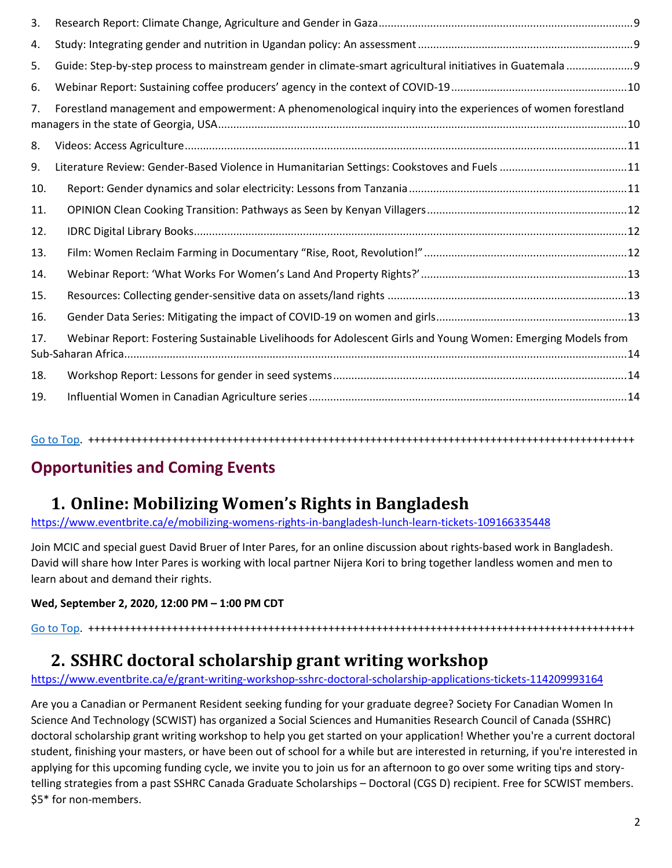| 3.  |                                                                                                              |  |
|-----|--------------------------------------------------------------------------------------------------------------|--|
| 4.  |                                                                                                              |  |
| 5.  | Guide: Step-by-step process to mainstream gender in climate-smart agricultural initiatives in Guatemala      |  |
| 6.  |                                                                                                              |  |
| 7.  | Forestland management and empowerment: A phenomenological inquiry into the experiences of women forestland   |  |
| 8.  |                                                                                                              |  |
| 9.  |                                                                                                              |  |
| 10. |                                                                                                              |  |
| 11. |                                                                                                              |  |
| 12. |                                                                                                              |  |
| 13. |                                                                                                              |  |
| 14. |                                                                                                              |  |
| 15. |                                                                                                              |  |
| 16. |                                                                                                              |  |
| 17. | Webinar Report: Fostering Sustainable Livelihoods for Adolescent Girls and Young Women: Emerging Models from |  |
| 18. |                                                                                                              |  |
| 19. |                                                                                                              |  |

[Go to Top.](#page-0-0) +++++++++++++++++++++++++++++++++++++++++++++++++++++++++++++++++++++++++++++++++++++++++++

### **Opportunities and Coming Events**

### <span id="page-1-0"></span>**1. Online: Mobilizing Women's Rights in Bangladesh**

<https://www.eventbrite.ca/e/mobilizing-womens-rights-in-bangladesh-lunch-learn-tickets-109166335448>

Join MCIC and special guest David Bruer of Inter Pares, for an online discussion about rights-based work in Bangladesh. David will share how Inter Pares is working with local partner Nijera Kori to bring together landless women and men to learn about and demand their rights.

#### **Wed, September 2, 2020, 12:00 PM – 1:00 PM CDT**

[Go to Top.](#page-0-0) +++++++++++++++++++++++++++++++++++++++++++++++++++++++++++++++++++++++++++++++++++++++++++

# <span id="page-1-1"></span>**2. SSHRC doctoral scholarship grant writing workshop**

### <https://www.eventbrite.ca/e/grant-writing-workshop-sshrc-doctoral-scholarship-applications-tickets-114209993164>

Are you a Canadian or Permanent Resident seeking funding for your graduate degree? Society For Canadian Women In Science And Technology (SCWIST) has organized a Social Sciences and Humanities Research Council of Canada (SSHRC) doctoral scholarship grant writing workshop to help you get started on your application! Whether you're a current doctoral student, finishing your masters, or have been out of school for a while but are interested in returning, if you're interested in applying for this upcoming funding cycle, we invite you to join us for an afternoon to go over some writing tips and storytelling strategies from a past SSHRC Canada Graduate Scholarships – Doctoral (CGS D) recipient. Free for SCWIST members. \$5\* for non-members.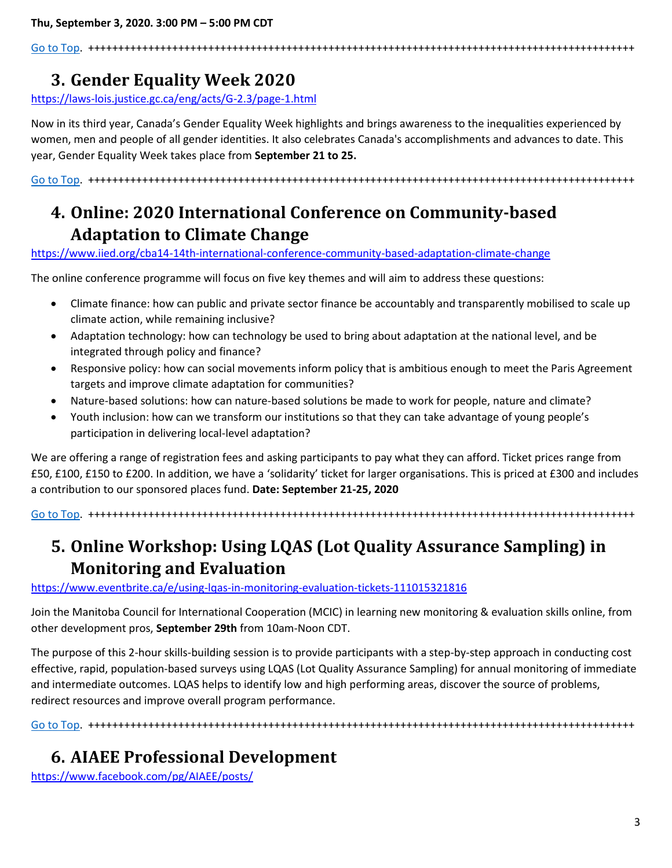[Go to Top.](#page-0-0) +++++++++++++++++++++++++++++++++++++++++++++++++++++++++++++++++++++++++++++++++++++++++++

# <span id="page-2-0"></span>**3. Gender Equality Week 2020**

<https://laws-lois.justice.gc.ca/eng/acts/G-2.3/page-1.html>

Now in its third year, Canada's Gender Equality Week highlights and brings awareness to the inequalities experienced by women, men and people of all gender identities. It also celebrates Canada's accomplishments and advances to date. This year, Gender Equality Week takes place from **September 21 to 25.**

[Go to Top.](#page-0-0) +++++++++++++++++++++++++++++++++++++++++++++++++++++++++++++++++++++++++++++++++++++++++++

# <span id="page-2-1"></span>**4. Online: 2020 International Conference on Community-based Adaptation to Climate Change**

<https://www.iied.org/cba14-14th-international-conference-community-based-adaptation-climate-change>

The online conference programme will focus on five key themes and will aim to address these questions:

- Climate finance: how can public and private sector finance be accountably and transparently mobilised to scale up climate action, while remaining inclusive?
- Adaptation technology: how can technology be used to bring about adaptation at the national level, and be integrated through policy and finance?
- Responsive policy: how can social movements inform policy that is ambitious enough to meet the Paris Agreement targets and improve climate adaptation for communities?
- Nature-based solutions: how can nature-based solutions be made to work for people, nature and climate?
- Youth inclusion: how can we transform our institutions so that they can take advantage of young people's participation in delivering local-level adaptation?

We are offering a range of registration fees and asking participants to pay what they can afford. Ticket prices range from £50, £100, £150 to £200. In addition, we have a 'solidarity' ticket for larger organisations. This is priced at £300 and includes a contribution to our sponsored places fund. **Date: September 21-25, 2020**

[Go to Top.](#page-0-0) +++++++++++++++++++++++++++++++++++++++++++++++++++++++++++++++++++++++++++++++++++++++++++

# <span id="page-2-2"></span>**5. Online Workshop: Using LQAS (Lot Quality Assurance Sampling) in Monitoring and Evaluation**

<https://www.eventbrite.ca/e/using-lqas-in-monitoring-evaluation-tickets-111015321816>

Join the Manitoba Council for International Cooperation (MCIC) in learning new monitoring & evaluation skills online, from other development pros, **September 29th** from 10am-Noon CDT.

The purpose of this 2-hour skills-building session is to provide participants with a step-by-step approach in conducting cost effective, rapid, population-based surveys using LQAS (Lot Quality Assurance Sampling) for annual monitoring of immediate and intermediate outcomes. LQAS helps to identify low and high performing areas, discover the source of problems, redirect resources and improve overall program performance.

[Go to Top.](#page-0-0) +++++++++++++++++++++++++++++++++++++++++++++++++++++++++++++++++++++++++++++++++++++++++++

### <span id="page-2-3"></span>**6. AIAEE Professional Development**

<https://www.facebook.com/pg/AIAEE/posts/>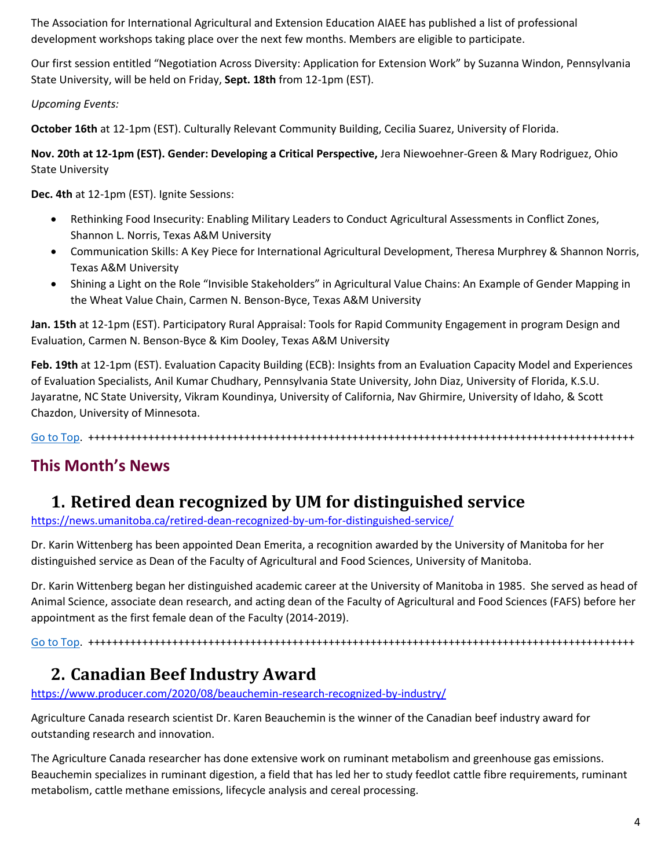The Association for International Agricultural and Extension Education AIAEE has published a list of professional development workshops taking place over the next few months. Members are eligible to participate.

Our first session entitled "Negotiation Across Diversity: Application for Extension Work" by Suzanna Windon, Pennsylvania State University, will be held on Friday, **Sept. 18th** from 12-1pm (EST).

*Upcoming Events:*

**October 16th** at 12-1pm (EST). Culturally Relevant Community Building, Cecilia Suarez, University of Florida.

**Nov. 20th at 12-1pm (EST). Gender: Developing a Critical Perspective,** Jera Niewoehner-Green & Mary Rodriguez, Ohio State University

**Dec. 4th** at 12-1pm (EST). Ignite Sessions:

- Rethinking Food Insecurity: Enabling Military Leaders to Conduct Agricultural Assessments in Conflict Zones, Shannon L. Norris, Texas A&M University
- Communication Skills: A Key Piece for International Agricultural Development, Theresa Murphrey & Shannon Norris, Texas A&M University
- Shining a Light on the Role "Invisible Stakeholders" in Agricultural Value Chains: An Example of Gender Mapping in the Wheat Value Chain, Carmen N. Benson-Byce, Texas A&M University

**Jan. 15th** at 12-1pm (EST). Participatory Rural Appraisal: Tools for Rapid Community Engagement in program Design and Evaluation, Carmen N. Benson-Byce & Kim Dooley, Texas A&M University

**Feb. 19th** at 12-1pm (EST). Evaluation Capacity Building (ECB): Insights from an Evaluation Capacity Model and Experiences of Evaluation Specialists, Anil Kumar Chudhary, Pennsylvania State University, John Diaz, University of Florida, K.S.U. Jayaratne, NC State University, Vikram Koundinya, University of California, Nav Ghirmire, University of Idaho, & Scott Chazdon, University of Minnesota.

[Go to Top.](#page-0-0) +++++++++++++++++++++++++++++++++++++++++++++++++++++++++++++++++++++++++++++++++++++++++++

### **This Month's News**

### <span id="page-3-0"></span>**1. Retired dean recognized by UM for distinguished service**

<https://news.umanitoba.ca/retired-dean-recognized-by-um-for-distinguished-service/>

Dr. Karin Wittenberg has been appointed Dean Emerita, a recognition awarded by the University of Manitoba for her distinguished service as Dean of the Faculty of Agricultural and Food Sciences, University of Manitoba.

Dr. Karin Wittenberg began her distinguished academic career at the University of Manitoba in 1985. She served as head of Animal Science, associate dean research, and acting dean of the Faculty of Agricultural and Food Sciences (FAFS) before her appointment as the first female dean of the Faculty (2014-2019).

[Go to Top.](#page-0-0) +++++++++++++++++++++++++++++++++++++++++++++++++++++++++++++++++++++++++++++++++++++++++++

# <span id="page-3-1"></span>**2. Canadian Beef Industry Award**

<https://www.producer.com/2020/08/beauchemin-research-recognized-by-industry/>

Agriculture Canada research scientist Dr. Karen Beauchemin is the winner of the Canadian beef industry award for outstanding research and innovation.

The Agriculture Canada researcher has done extensive work on ruminant metabolism and greenhouse gas emissions. Beauchemin specializes in ruminant digestion, a field that has led her to study feedlot cattle fibre requirements, ruminant metabolism, cattle methane emissions, lifecycle analysis and cereal processing.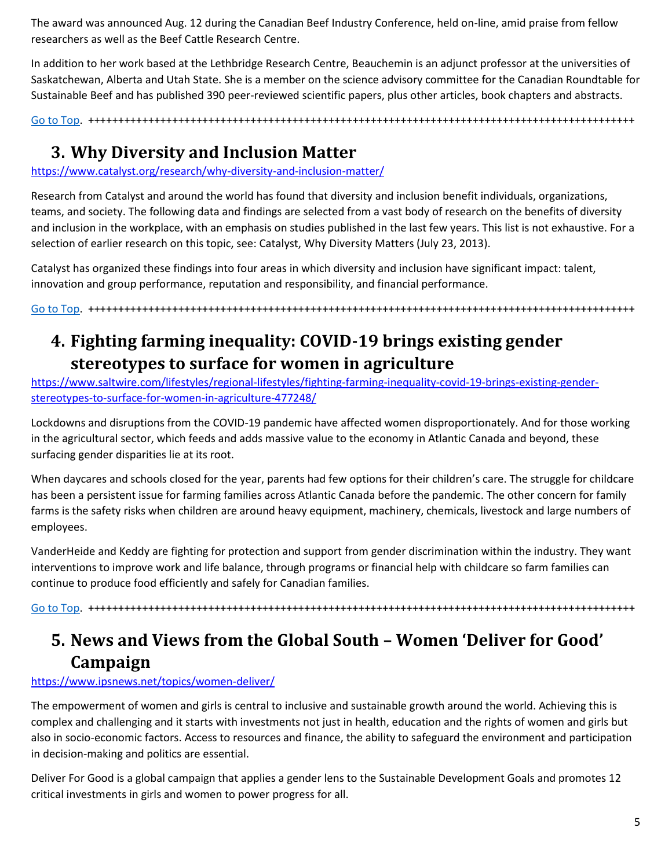The award was announced Aug. 12 during the Canadian Beef Industry Conference, held on-line, amid praise from fellow researchers as well as the Beef Cattle Research Centre.

In addition to her work based at the Lethbridge Research Centre, Beauchemin is an adjunct professor at the universities of Saskatchewan, Alberta and Utah State. She is a member on the science advisory committee for the Canadian Roundtable for Sustainable Beef and has published 390 peer-reviewed scientific papers, plus other articles, book chapters and abstracts.

[Go to Top.](#page-0-0) +++++++++++++++++++++++++++++++++++++++++++++++++++++++++++++++++++++++++++++++++++++++++++

### <span id="page-4-0"></span>**3. Why Diversity and Inclusion Matter**

<https://www.catalyst.org/research/why-diversity-and-inclusion-matter/>

Research from Catalyst and around the world has found that diversity and inclusion benefit individuals, organizations, teams, and society. The following data and findings are selected from a vast body of research on the benefits of diversity and inclusion in the workplace, with an emphasis on studies published in the last few years. This list is not exhaustive. For a selection of earlier research on this topic, see: Catalyst, Why Diversity Matters (July 23, 2013).

Catalyst has organized these findings into four areas in which diversity and inclusion have significant impact: talent, innovation and group performance, reputation and responsibility, and financial performance.

[Go to Top.](#page-0-0) +++++++++++++++++++++++++++++++++++++++++++++++++++++++++++++++++++++++++++++++++++++++++++

### <span id="page-4-1"></span>**4. Fighting farming inequality: COVID-19 brings existing gender stereotypes to surface for women in agriculture**

[https://www.saltwire.com/lifestyles/regional-lifestyles/fighting-farming-inequality-covid-19-brings-existing-gender](https://www.saltwire.com/lifestyles/regional-lifestyles/fighting-farming-inequality-covid-19-brings-existing-gender-stereotypes-to-surface-for-women-in-agriculture-477248/?fbclid=IwAR0-e_IUsXeOUn0zXdxEGbAsUEMr39ayeUf58jJnpdHAdDf8lChIM_6HCWA#.XyQdZhN0PB4.facebook)[stereotypes-to-surface-for-women-in-agriculture-477248/](https://www.saltwire.com/lifestyles/regional-lifestyles/fighting-farming-inequality-covid-19-brings-existing-gender-stereotypes-to-surface-for-women-in-agriculture-477248/?fbclid=IwAR0-e_IUsXeOUn0zXdxEGbAsUEMr39ayeUf58jJnpdHAdDf8lChIM_6HCWA#.XyQdZhN0PB4.facebook)

Lockdowns and disruptions from the COVID-19 pandemic have affected women disproportionately. And for those working in the agricultural sector, which feeds and adds massive value to the economy in Atlantic Canada and beyond, these surfacing gender disparities lie at its root.

When daycares and schools closed for the year, parents had few options for their children's care. The struggle for childcare has been a persistent issue for farming families across Atlantic Canada before the pandemic. The other concern for family farms is the safety risks when children are around heavy equipment, machinery, chemicals, livestock and large numbers of employees.

VanderHeide and Keddy are fighting for protection and support from gender discrimination within the industry. They want interventions to improve work and life balance, through programs or financial help with childcare so farm families can continue to produce food efficiently and safely for Canadian families.

[Go to Top.](#page-0-0) +++++++++++++++++++++++++++++++++++++++++++++++++++++++++++++++++++++++++++++++++++++++++++

## <span id="page-4-2"></span>**5. News and Views from the Global South – Women 'Deliver for Good' Campaign**

#### <https://www.ipsnews.net/topics/women-deliver/>

The empowerment of women and girls is central to inclusive and sustainable growth around the world. Achieving this is complex and challenging and it starts with investments not just in health, education and the rights of women and girls but also in socio-economic factors. Access to resources and finance, the ability to safeguard the environment and participation in decision-making and politics are essential.

Deliver For Good is a global campaign that applies a gender lens to the Sustainable Development Goals and promotes 12 critical investments in girls and women to power progress for all.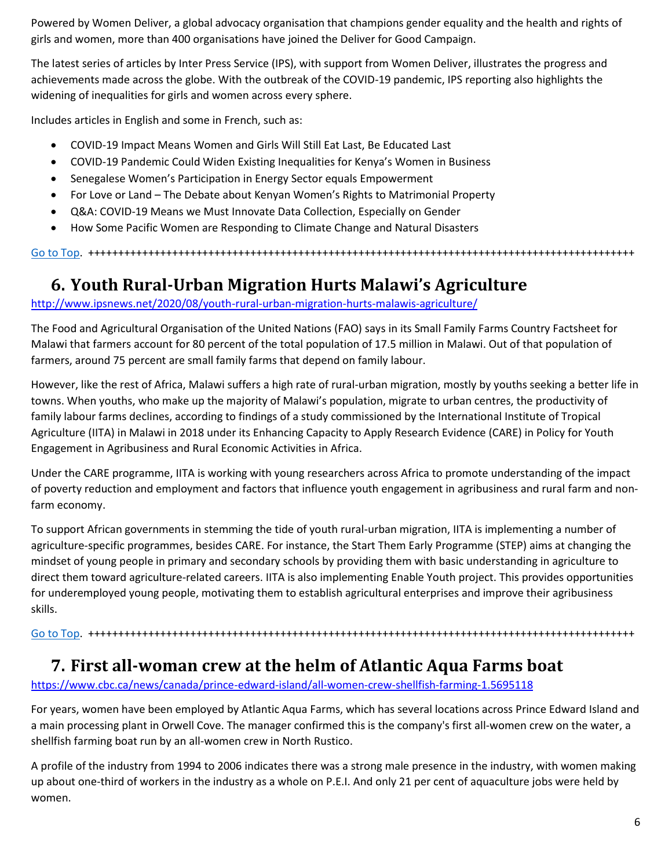Powered by Women Deliver, a global advocacy organisation that champions gender equality and the health and rights of girls and women, more than 400 organisations have joined the Deliver for Good Campaign.

The latest series of articles by Inter Press Service (IPS), with support from Women Deliver, illustrates the progress and achievements made across the globe. With the outbreak of the COVID-19 pandemic, IPS reporting also highlights the widening of inequalities for girls and women across every sphere.

Includes articles in English and some in French, such as:

- COVID-19 Impact Means Women and Girls Will Still Eat Last, Be Educated Last
- COVID-19 Pandemic Could Widen Existing Inequalities for Kenya's Women in Business
- Senegalese Women's Participation in Energy Sector equals Empowerment
- For Love or Land The Debate about Kenyan Women's Rights to Matrimonial Property
- Q&A: COVID-19 Means we Must Innovate Data Collection, Especially on Gender
- How Some Pacific Women are Responding to Climate Change and Natural Disasters

[Go to Top.](#page-0-0) +++++++++++++++++++++++++++++++++++++++++++++++++++++++++++++++++++++++++++++++++++++++++++

### <span id="page-5-0"></span>**6. Youth Rural-Urban Migration Hurts Malawi's Agriculture**

<http://www.ipsnews.net/2020/08/youth-rural-urban-migration-hurts-malawis-agriculture/>

The Food and Agricultural Organisation of the United Nations (FAO) says in its Small Family Farms Country Factsheet for Malawi that farmers account for 80 percent of the total population of 17.5 million in Malawi. Out of that population of farmers, around 75 percent are small family farms that depend on family labour.

However, like the rest of Africa, Malawi suffers a high rate of rural-urban migration, mostly by youths seeking a better life in towns. When youths, who make up the majority of Malawi's population, migrate to urban centres, the productivity of family labour farms declines, according to findings of a study commissioned by the International Institute of Tropical Agriculture (IITA) in Malawi in 2018 under its Enhancing Capacity to Apply Research Evidence (CARE) in Policy for Youth Engagement in Agribusiness and Rural Economic Activities in Africa.

Under the CARE programme, IITA is working with young researchers across Africa to promote understanding of the impact of poverty reduction and employment and factors that influence youth engagement in agribusiness and rural farm and nonfarm economy.

To support African governments in stemming the tide of youth rural-urban migration, IITA is implementing a number of agriculture-specific programmes, besides CARE. For instance, the Start Them Early Programme (STEP) aims at changing the mindset of young people in primary and secondary schools by providing them with basic understanding in agriculture to direct them toward agriculture-related careers. IITA is also implementing Enable Youth project. This provides opportunities for underemployed young people, motivating them to establish agricultural enterprises and improve their agribusiness skills.

[Go to Top.](#page-0-0) +++++++++++++++++++++++++++++++++++++++++++++++++++++++++++++++++++++++++++++++++++++++++++

### <span id="page-5-1"></span>**7. First all-woman crew at the helm of Atlantic Aqua Farms boat**

[https://www.cbc.ca/news/canada/prince-edward-island/all-women-crew-shellfish-farming-1.5695118](https://www.cbc.ca/news/canada/prince-edward-island/all-women-crew-shellfish-farming-1.5695118?)

For years, women have been employed by Atlantic Aqua Farms, which has several locations across Prince Edward Island and a main processing plant in Orwell Cove. The manager confirmed this is the company's first all-women crew on the water, a shellfish farming boat run by an all-women crew in North Rustico.

A profile of the industry from 1994 to 2006 indicates there was a strong male presence in the industry, with women making up about one-third of workers in the industry as a whole on P.E.I. And only 21 per cent of aquaculture jobs were held by women.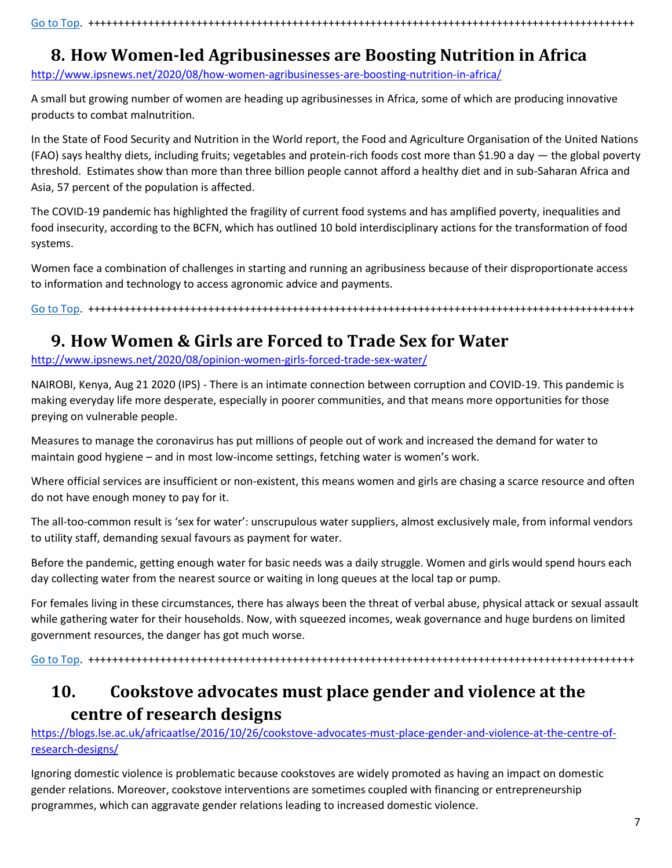## <span id="page-6-0"></span>**8. How Women-led Agribusinesses are Boosting Nutrition in Africa**

<http://www.ipsnews.net/2020/08/how-women-agribusinesses-are-boosting-nutrition-in-africa/>

A small but growing number of women are heading up agribusinesses in Africa, some of which are producing innovative products to combat malnutrition.

In the State of Food Security and Nutrition in the World report, the Food and Agriculture Organisation of the United Nations (FAO) says healthy diets, including fruits; vegetables and protein-rich foods cost more than \$1.90 a day — the global poverty threshold. Estimates show than more than three billion people cannot afford a healthy diet and in sub-Saharan Africa and Asia, 57 percent of the population is affected.

The COVID-19 pandemic has highlighted the fragility of current food systems and has amplified poverty, inequalities and food insecurity, according to the BCFN, which has outlined 10 bold interdisciplinary actions for the transformation of food systems.

Women face a combination of challenges in starting and running an agribusiness because of their disproportionate access to information and technology to access agronomic advice and payments.

[Go to Top.](#page-0-0) +++++++++++++++++++++++++++++++++++++++++++++++++++++++++++++++++++++++++++++++++++++++++++

### <span id="page-6-1"></span>**9. How Women & Girls are Forced to Trade Sex for Water**

<http://www.ipsnews.net/2020/08/opinion-women-girls-forced-trade-sex-water/>

NAIROBI, Kenya, Aug 21 2020 (IPS) - There is an intimate connection between corruption and COVID-19. This pandemic is making everyday life more desperate, especially in poorer communities, and that means more opportunities for those preying on vulnerable people.

Measures to manage the coronavirus has put millions of people out of work and increased the demand for water to maintain good hygiene – and in most low-income settings, fetching water is women's work.

Where official services are insufficient or non-existent, this means women and girls are chasing a scarce resource and often do not have enough money to pay for it.

The all-too-common result is 'sex for water': unscrupulous water suppliers, almost exclusively male, from informal vendors to utility staff, demanding sexual favours as payment for water.

Before the pandemic, getting enough water for basic needs was a daily struggle. Women and girls would spend hours each day collecting water from the nearest source or waiting in long queues at the local tap or pump.

For females living in these circumstances, there has always been the threat of verbal abuse, physical attack or sexual assault while gathering water for their households. Now, with squeezed incomes, weak governance and huge burdens on limited government resources, the danger has got much worse.

[Go to Top.](#page-0-0) +++++++++++++++++++++++++++++++++++++++++++++++++++++++++++++++++++++++++++++++++++++++++++

### <span id="page-6-2"></span>**10. Cookstove advocates must place gender and violence at the centre of research designs**

[https://blogs.lse.ac.uk/africaatlse/2016/10/26/cookstove-advocates-must-place-gender-and-violence-at-the-centre-of](https://blogs.lse.ac.uk/africaatlse/2016/10/26/cookstove-advocates-must-place-gender-and-violence-at-the-centre-of-research-designs/)[research-designs/](https://blogs.lse.ac.uk/africaatlse/2016/10/26/cookstove-advocates-must-place-gender-and-violence-at-the-centre-of-research-designs/)

Ignoring domestic violence is problematic because cookstoves are widely promoted as having an impact on domestic gender relations. Moreover, cookstove interventions are sometimes coupled with financing or entrepreneurship programmes, which can aggravate gender relations leading to increased domestic violence.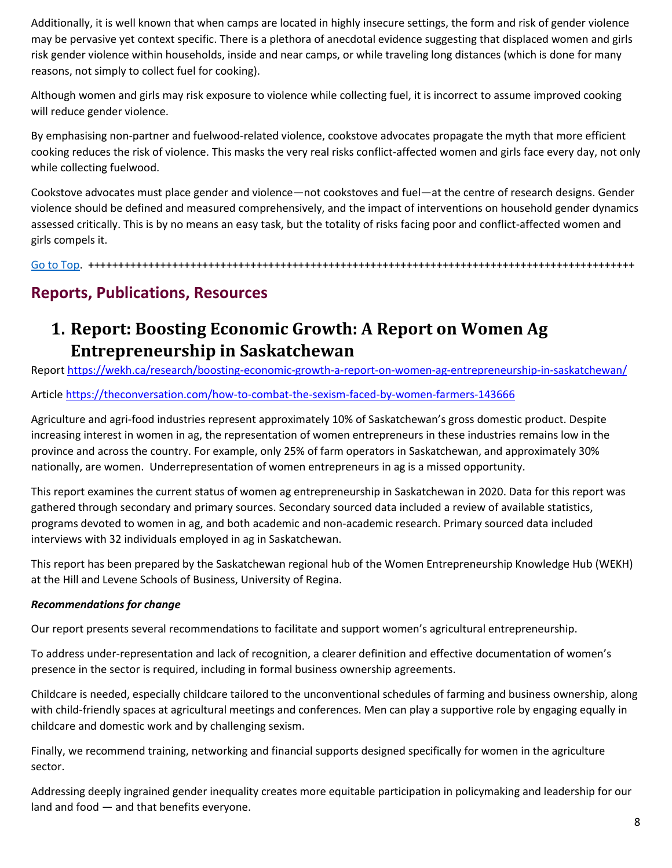Additionally, it is well known that when camps are located in highly insecure settings, the form and risk of gender violence may be pervasive yet context specific. There is a plethora of anecdotal evidence suggesting that displaced women and girls risk gender violence within households, inside and near camps, or while traveling long distances (which is done for many reasons, not simply to collect fuel for cooking).

Although women and girls may risk exposure to violence while collecting fuel, it is incorrect to assume improved cooking will reduce gender violence.

By emphasising non-partner and fuelwood-related violence, cookstove advocates propagate the myth that more efficient cooking reduces the risk of violence. This masks the very real risks conflict-affected women and girls face every day, not only while collecting fuelwood.

Cookstove advocates must place gender and violence—not cookstoves and fuel—at the centre of research designs. Gender violence should be defined and measured comprehensively, and the impact of interventions on household gender dynamics assessed critically. This is by no means an easy task, but the totality of risks facing poor and conflict-affected women and girls compels it.

[Go to Top.](#page-0-0) +++++++++++++++++++++++++++++++++++++++++++++++++++++++++++++++++++++++++++++++++++++++++++

### **Reports, Publications, Resources**

### <span id="page-7-0"></span>**1. Report: Boosting Economic Growth: A Report on Women Ag Entrepreneurship in Saskatchewan**

Repor[t https://wekh.ca/research/boosting-economic-growth-a-report-on-women-ag-entrepreneurship-in-saskatchewan/](https://wekh.ca/research/boosting-economic-growth-a-report-on-women-ag-entrepreneurship-in-saskatchewan/)

Article<https://theconversation.com/how-to-combat-the-sexism-faced-by-women-farmers-143666>

Agriculture and agri-food industries represent approximately 10% of Saskatchewan's gross domestic product. Despite increasing interest in women in ag, the representation of women entrepreneurs in these industries remains low in the province and across the country. For example, only 25% of farm operators in Saskatchewan, and approximately 30% nationally, are women. Underrepresentation of women entrepreneurs in ag is a missed opportunity.

This report examines the current status of women ag entrepreneurship in Saskatchewan in 2020. Data for this report was gathered through secondary and primary sources. Secondary sourced data included a review of available statistics, programs devoted to women in ag, and both academic and non-academic research. Primary sourced data included interviews with 32 individuals employed in ag in Saskatchewan.

This report has been prepared by the Saskatchewan regional hub of the Women Entrepreneurship Knowledge Hub (WEKH) at the Hill and Levene Schools of Business, University of Regina.

#### *Recommendations for change*

Our report presents several recommendations to facilitate and support women's agricultural entrepreneurship.

To address under-representation and lack of recognition, a clearer definition and effective documentation of women's presence in the sector is required, including in formal business ownership agreements.

Childcare is needed, especially childcare tailored to the unconventional schedules of farming and business ownership, along with child-friendly spaces at agricultural meetings and conferences. Men can play a supportive role by engaging equally in childcare and domestic work and by challenging sexism.

Finally, we recommend training, networking and financial supports designed specifically for women in the agriculture sector.

Addressing deeply ingrained gender inequality creates more equitable participation in policymaking and leadership for our land and food — and that benefits everyone.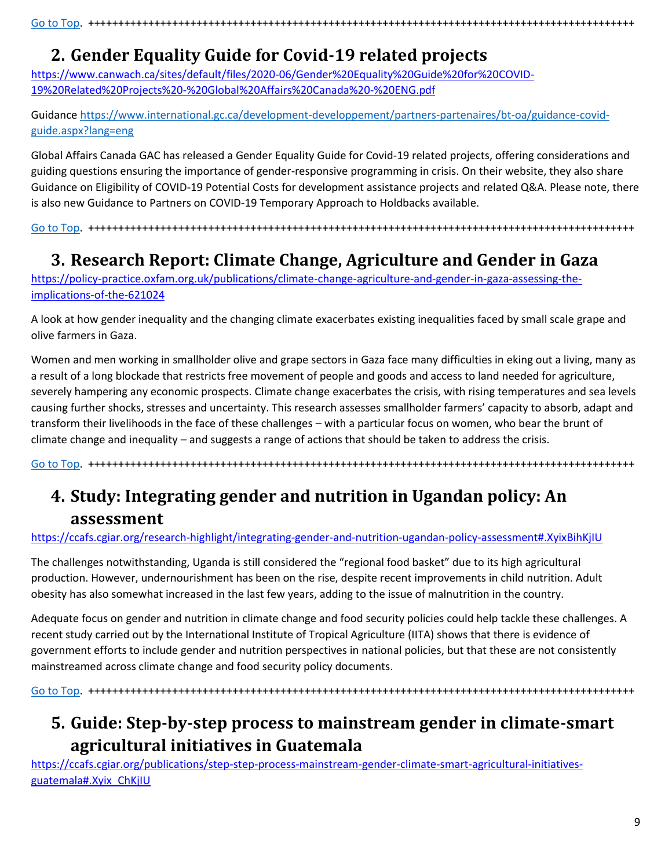[Go to Top.](#page-0-0) +++++++++++++++++++++++++++++++++++++++++++++++++++++++++++++++++++++++++++++++++++++++++++

# <span id="page-8-0"></span>**2. Gender Equality Guide for Covid-19 related projects**

[https://www.canwach.ca/sites/default/files/2020-06/Gender%20Equality%20Guide%20for%20COVID-](https://www.canwach.ca/sites/default/files/2020-06/Gender%20Equality%20Guide%20for%20COVID-19%20Related%20Projects%20-%20Global%20Affairs%20Canada%20-%20ENG.pdf)[19%20Related%20Projects%20-%20Global%20Affairs%20Canada%20-%20ENG.pdf](https://www.canwach.ca/sites/default/files/2020-06/Gender%20Equality%20Guide%20for%20COVID-19%20Related%20Projects%20-%20Global%20Affairs%20Canada%20-%20ENG.pdf)

Guidance [https://www.international.gc.ca/development-developpement/partners-partenaires/bt-oa/guidance-covid](https://www.international.gc.ca/development-developpement/partners-partenaires/bt-oa/guidance-covid-guide.aspx?lang=eng)[guide.aspx?lang=eng](https://www.international.gc.ca/development-developpement/partners-partenaires/bt-oa/guidance-covid-guide.aspx?lang=eng)

Global Affairs Canada GAC has released a Gender Equality Guide for Covid-19 related projects, offering considerations and guiding questions ensuring the importance of gender-responsive programming in crisis. On their website, they also share Guidance on Eligibility of COVID-19 Potential Costs for development assistance projects and related Q&A. Please note, there is also new Guidance to Partners on COVID-19 Temporary Approach to Holdbacks available.

[Go to Top.](#page-0-0) +++++++++++++++++++++++++++++++++++++++++++++++++++++++++++++++++++++++++++++++++++++++++++

# <span id="page-8-1"></span>**3. Research Report: Climate Change, Agriculture and Gender in Gaza**

[https://policy-practice.oxfam.org.uk/publications/climate-change-agriculture-and-gender-in-gaza-assessing-the](https://policy-practice.oxfam.org.uk/publications/climate-change-agriculture-and-gender-in-gaza-assessing-the-implications-of-the-621024)[implications-of-the-621024](https://policy-practice.oxfam.org.uk/publications/climate-change-agriculture-and-gender-in-gaza-assessing-the-implications-of-the-621024)

A look at how gender inequality and the changing climate exacerbates existing inequalities faced by small scale grape and olive farmers in Gaza.

Women and men working in smallholder olive and grape sectors in Gaza face many difficulties in eking out a living, many as a result of a long blockade that restricts free movement of people and goods and access to land needed for agriculture, severely hampering any economic prospects. Climate change exacerbates the crisis, with rising temperatures and sea levels causing further shocks, stresses and uncertainty. This research assesses smallholder farmers' capacity to absorb, adapt and transform their livelihoods in the face of these challenges – with a particular focus on women, who bear the brunt of climate change and inequality – and suggests a range of actions that should be taken to address the crisis.

[Go to Top.](#page-0-0) +++++++++++++++++++++++++++++++++++++++++++++++++++++++++++++++++++++++++++++++++++++++++++

### <span id="page-8-2"></span>**4. Study: Integrating gender and nutrition in Ugandan policy: An assessment**

#### <https://ccafs.cgiar.org/research-highlight/integrating-gender-and-nutrition-ugandan-policy-assessment#.XyixBihKjIU>

The challenges notwithstanding, Uganda is still considered the "regional food basket" due to its high agricultural production. However, undernourishment has been on the rise, despite recent improvements in child nutrition. Adult obesity has also somewhat increased in the last few years, adding to the issue of malnutrition in the country.

Adequate focus on gender and nutrition in climate change and food security policies could help tackle these challenges. A recent study carried out by the International Institute of Tropical Agriculture (IITA) shows that there is evidence of government efforts to include gender and nutrition perspectives in national policies, but that these are not consistently mainstreamed across climate change and food security policy documents.

[Go to Top.](#page-0-0) +++++++++++++++++++++++++++++++++++++++++++++++++++++++++++++++++++++++++++++++++++++++++++

# <span id="page-8-3"></span>**5. Guide: Step-by-step process to mainstream gender in climate-smart agricultural initiatives in Guatemala**

[https://ccafs.cgiar.org/publications/step-step-process-mainstream-gender-climate-smart-agricultural-initiatives](https://ccafs.cgiar.org/publications/step-step-process-mainstream-gender-climate-smart-agricultural-initiatives-guatemala#.Xyix_ChKjIU)[guatemala#.Xyix\\_ChKjIU](https://ccafs.cgiar.org/publications/step-step-process-mainstream-gender-climate-smart-agricultural-initiatives-guatemala#.Xyix_ChKjIU)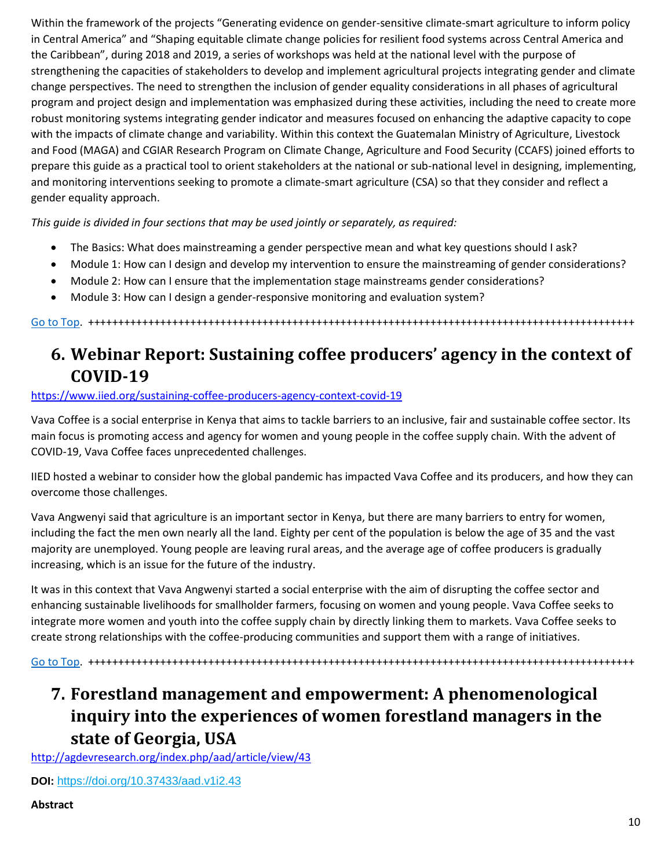Within the framework of the projects "Generating evidence on gender-sensitive climate-smart agriculture to inform policy in Central America" and "Shaping equitable climate change policies for resilient food systems across Central America and the Caribbean", during 2018 and 2019, a series of workshops was held at the national level with the purpose of strengthening the capacities of stakeholders to develop and implement agricultural projects integrating gender and climate change perspectives. The need to strengthen the inclusion of gender equality considerations in all phases of agricultural program and project design and implementation was emphasized during these activities, including the need to create more robust monitoring systems integrating gender indicator and measures focused on enhancing the adaptive capacity to cope with the impacts of climate change and variability. Within this context the Guatemalan Ministry of Agriculture, Livestock and Food (MAGA) and CGIAR Research Program on Climate Change, Agriculture and Food Security (CCAFS) joined efforts to prepare this guide as a practical tool to orient stakeholders at the national or sub-national level in designing, implementing, and monitoring interventions seeking to promote a climate-smart agriculture (CSA) so that they consider and reflect a gender equality approach.

*This guide is divided in four sections that may be used jointly or separately, as required:*

- The Basics: What does mainstreaming a gender perspective mean and what key questions should I ask?
- Module 1: How can I design and develop my intervention to ensure the mainstreaming of gender considerations?
- Module 2: How can I ensure that the implementation stage mainstreams gender considerations?
- Module 3: How can I design a gender-responsive monitoring and evaluation system?

[Go to Top.](#page-0-0) +++++++++++++++++++++++++++++++++++++++++++++++++++++++++++++++++++++++++++++++++++++++++++

### <span id="page-9-0"></span>**6. Webinar Report: Sustaining coffee producers' agency in the context of COVID-19**

#### <https://www.iied.org/sustaining-coffee-producers-agency-context-covid-19>

Vava Coffee is a social enterprise in Kenya that aims to tackle barriers to an inclusive, fair and sustainable coffee sector. Its main focus is promoting access and agency for women and young people in the coffee supply chain. With the advent of COVID-19, Vava Coffee faces unprecedented challenges.

IIED hosted a webinar to consider how the global pandemic has impacted Vava Coffee and its producers, and how they can overcome those challenges.

Vava Angwenyi said that agriculture is an important sector in Kenya, but there are many barriers to entry for women, including the fact the men own nearly all the land. Eighty per cent of the population is below the age of 35 and the vast majority are unemployed. Young people are leaving rural areas, and the average age of coffee producers is gradually increasing, which is an issue for the future of the industry.

It was in this context that Vava Angwenyi started a social enterprise with the aim of disrupting the coffee sector and enhancing sustainable livelihoods for smallholder farmers, focusing on women and young people. Vava Coffee seeks to integrate more women and youth into the coffee supply chain by directly linking them to markets. Vava Coffee seeks to create strong relationships with the coffee-producing communities and support them with a range of initiatives.

[Go to Top.](#page-0-0) +++++++++++++++++++++++++++++++++++++++++++++++++++++++++++++++++++++++++++++++++++++++++++

### <span id="page-9-1"></span>**7. Forestland management and empowerment: A phenomenological inquiry into the experiences of women forestland managers in the state of Georgia, USA**

<http://agdevresearch.org/index.php/aad/article/view/43>

**DOI:** <https://doi.org/10.37433/aad.v1i2.43>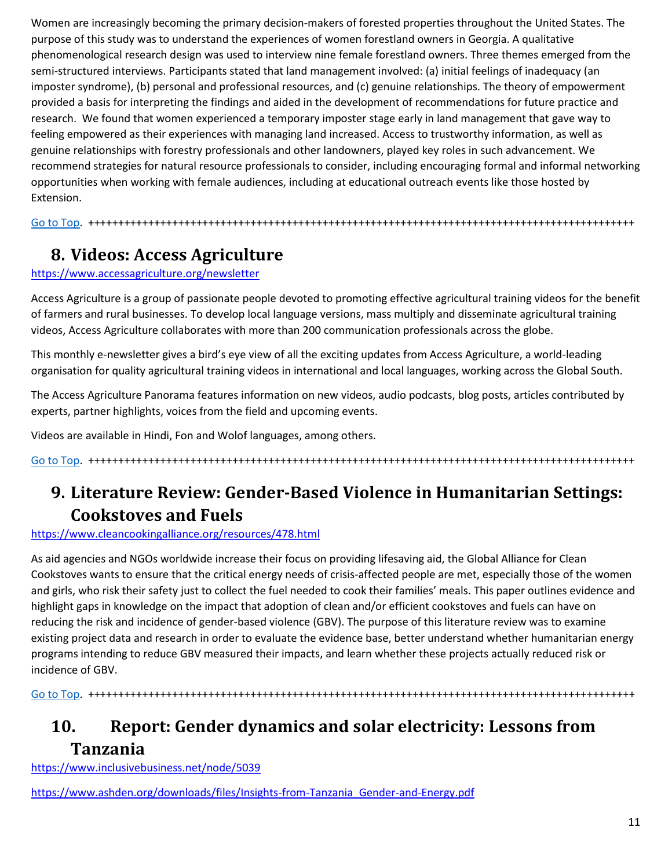Women are increasingly becoming the primary decision-makers of forested properties throughout the United States. The purpose of this study was to understand the experiences of women forestland owners in Georgia. A qualitative phenomenological research design was used to interview nine female forestland owners. Three themes emerged from the semi-structured interviews. Participants stated that land management involved: (a) initial feelings of inadequacy (an imposter syndrome), (b) personal and professional resources, and (c) genuine relationships. The theory of empowerment provided a basis for interpreting the findings and aided in the development of recommendations for future practice and research. We found that women experienced a temporary imposter stage early in land management that gave way to feeling empowered as their experiences with managing land increased. Access to trustworthy information, as well as genuine relationships with forestry professionals and other landowners, played key roles in such advancement. We recommend strategies for natural resource professionals to consider, including encouraging formal and informal networking opportunities when working with female audiences, including at educational outreach events like those hosted by Extension.

[Go to](#page-0-0) Top. +++++++++++++++++++++++++++++++++++++++++++++++++++++++++++++++++++++++++++++++++++++++++++

## <span id="page-10-0"></span>**8. Videos: Access Agriculture**

#### <https://www.accessagriculture.org/newsletter>

Access Agriculture is a group of passionate people devoted to promoting effective agricultural training videos for the benefit of farmers and rural businesses. To develop local language versions, mass multiply and disseminate agricultural training videos, Access Agriculture collaborates with more than 200 communication professionals across the globe.

This monthly e-newsletter gives a bird's eye view of all the exciting updates from Access Agriculture, a world-leading organisation for quality agricultural training videos in international and local languages, working across the Global South.

The Access Agriculture Panorama features information on new videos, audio podcasts, blog posts, articles contributed by experts, partner highlights, voices from the field and upcoming events.

Videos are available in Hindi, Fon and Wolof languages, among others.

[Go to Top.](#page-0-0) +++++++++++++++++++++++++++++++++++++++++++++++++++++++++++++++++++++++++++++++++++++++++++

## <span id="page-10-1"></span>**9. Literature Review: Gender-Based Violence in Humanitarian Settings: Cookstoves and Fuels**

<https://www.cleancookingalliance.org/resources/478.html>

As aid agencies and NGOs worldwide increase their focus on providing lifesaving aid, the Global Alliance for Clean Cookstoves wants to ensure that the critical energy needs of crisis-affected people are met, especially those of the women and girls, who risk their safety just to collect the fuel needed to cook their families' meals. This paper outlines evidence and highlight gaps in knowledge on the impact that adoption of clean and/or efficient cookstoves and fuels can have on reducing the risk and incidence of gender-based violence (GBV). The purpose of this literature review was to examine existing project data and research in order to evaluate the evidence base, better understand whether humanitarian energy programs intending to reduce GBV measured their impacts, and learn whether these projects actually reduced risk or incidence of GBV.

[Go to Top.](#page-0-0) +++++++++++++++++++++++++++++++++++++++++++++++++++++++++++++++++++++++++++++++++++++++++++

# <span id="page-10-2"></span>**10. Report: Gender dynamics and solar electricity: Lessons from Tanzania**

<https://www.inclusivebusiness.net/node/5039>

[https://www.ashden.org/downloads/files/Insights-from-Tanzania\\_Gender-and-Energy.pdf](https://www.ashden.org/downloads/files/Insights-from-Tanzania_Gender-and-Energy.pdf)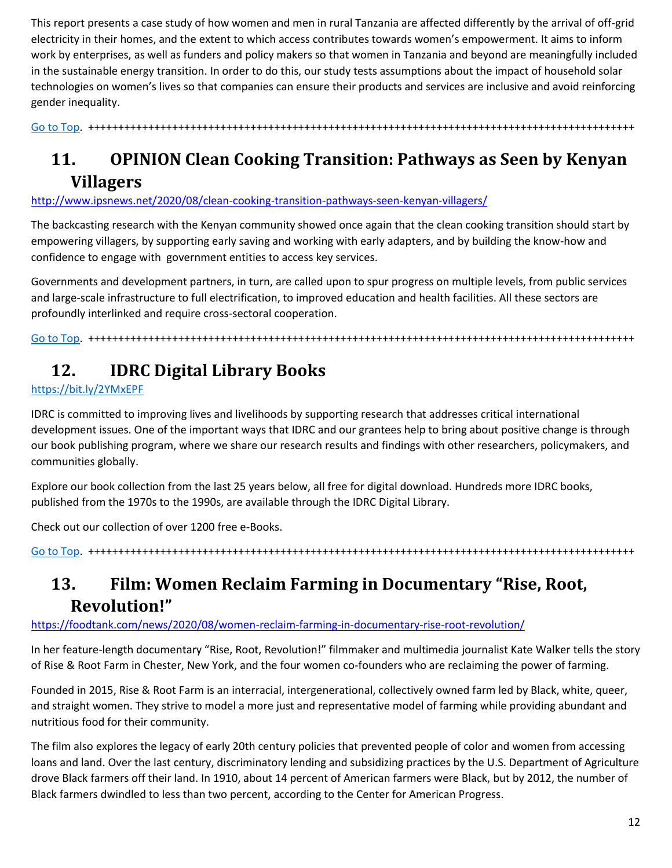This report presents a case study of how women and men in rural Tanzania are affected differently by the arrival of off-grid electricity in their homes, and the extent to which access contributes towards women's empowerment. It aims to inform work by enterprises, as well as funders and policy makers so that women in Tanzania and beyond are meaningfully included in the sustainable energy transition. In order to do this, our study tests assumptions about the impact of household solar technologies on women's lives so that companies can ensure their products and services are inclusive and avoid reinforcing gender inequality.

[Go to](#page-0-0) Top. +++++++++++++++++++++++++++++++++++++++++++++++++++++++++++++++++++++++++++++++++++++++++++

# <span id="page-11-0"></span>**11. OPINION Clean Cooking Transition: Pathways as Seen by Kenyan Villagers**

<http://www.ipsnews.net/2020/08/clean-cooking-transition-pathways-seen-kenyan-villagers/>

The backcasting research with the Kenyan community showed once again that the clean cooking transition should start by empowering villagers, by supporting early saving and working with early adapters, and by building the know-how and confidence to engage with government entities to access key services.

Governments and development partners, in turn, are called upon to spur progress on multiple levels, from public services and large-scale infrastructure to full electrification, to improved education and health facilities. All these sectors are profoundly interlinked and require cross-sectoral cooperation.

[Go to Top.](#page-0-0) +++++++++++++++++++++++++++++++++++++++++++++++++++++++++++++++++++++++++++++++++++++++++++

# <span id="page-11-1"></span>**12. IDRC Digital Library Books**

<https://bit.ly/2YMxEPF>

IDRC is committed to improving lives and livelihoods by supporting research that addresses critical international development issues. One of the important ways that IDRC and our grantees help to bring about positive change is through our book publishing program, where we share our research results and findings with other researchers, policymakers, and communities globally.

Explore our book collection from the last 25 years below, all free for digital download. Hundreds more IDRC books, published from the 1970s to the 1990s, are available through the IDRC Digital Library.

Check out our collection of over 1200 free e-Books.

[Go to Top.](#page-0-0) +++++++++++++++++++++++++++++++++++++++++++++++++++++++++++++++++++++++++++++++++++++++++++

### <span id="page-11-2"></span>**13. Film: Women Reclaim Farming in Documentary "Rise, Root, Revolution!"**

#### <https://foodtank.com/news/2020/08/women-reclaim-farming-in-documentary-rise-root-revolution/>

In her feature-length documentary "Rise, Root, Revolution!" filmmaker and multimedia journalist Kate Walker tells the story of Rise & Root Farm in Chester, New York, and the four women co-founders who are reclaiming the power of farming.

Founded in 2015, Rise & Root Farm is an interracial, intergenerational, collectively owned farm led by Black, white, queer, and straight women. They strive to model a more just and representative model of farming while providing abundant and nutritious food for their community.

The film also explores the legacy of early 20th century policies that prevented people of color and women from accessing loans and land. Over the last century, discriminatory lending and subsidizing practices by the U.S. Department of Agriculture drove Black farmers off their land. In 1910, about 14 percent of American farmers were Black, but by 2012, the number of Black farmers dwindled to less than two percent, according to the Center for American Progress.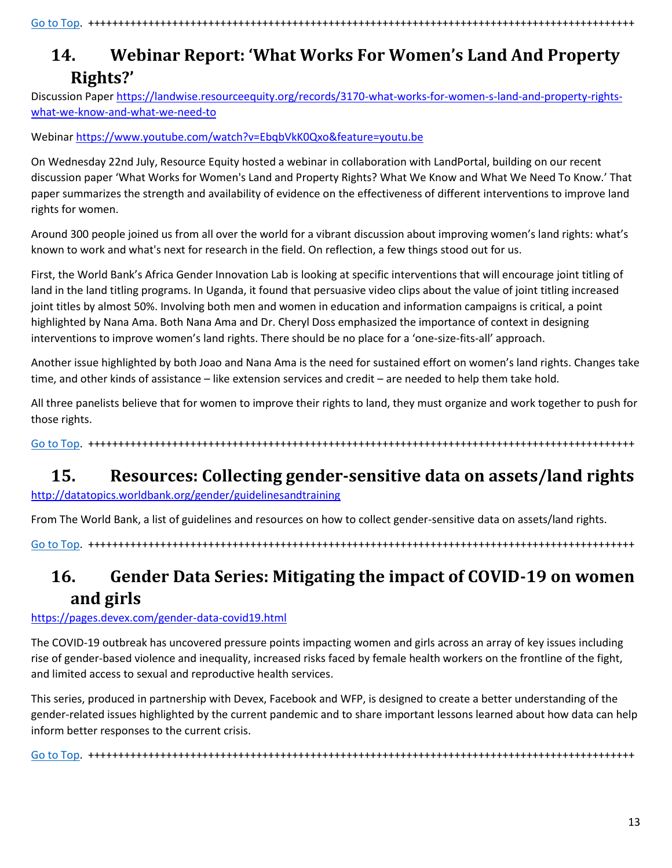## <span id="page-12-0"></span>**14. Webinar Report: 'What Works For Women's Land And Property Rights?'**

Discussion Paper [https://landwise.resourceequity.org/records/3170-what-works-for-women-s-land-and-property-rights](https://landwise.resourceequity.org/records/3170-what-works-for-women-s-land-and-property-rights-what-we-know-and-what-we-need-to)[what-we-know-and-what-we-need-to](https://landwise.resourceequity.org/records/3170-what-works-for-women-s-land-and-property-rights-what-we-know-and-what-we-need-to)

Webinar<https://www.youtube.com/watch?v=EbqbVkK0Qxo&feature=youtu.be>

On Wednesday 22nd July, Resource Equity hosted a webinar in collaboration with LandPortal, building on our recent discussion paper 'What Works for Women's Land and Property Rights? What We Know and What We Need To Know.' That paper summarizes the strength and availability of evidence on the effectiveness of different interventions to improve land rights for women.

Around 300 people joined us from all over the world for a vibrant discussion about improving women's land rights: what's known to work and what's next for research in the field. On reflection, a few things stood out for us.

First, the World Bank's Africa Gender Innovation Lab is looking at specific interventions that will encourage joint titling of land in the land titling programs. In Uganda, it found that persuasive video clips about the value of joint titling increased joint titles by almost 50%. Involving both men and women in education and information campaigns is critical, a point highlighted by Nana Ama. Both Nana Ama and Dr. Cheryl Doss emphasized the importance of context in designing interventions to improve women's land rights. There should be no place for a 'one-size-fits-all' approach.

Another issue highlighted by both Joao and Nana Ama is the need for sustained effort on women's land rights. Changes take time, and other kinds of assistance – like extension services and credit – are needed to help them take hold.

All three panelists believe that for women to improve their rights to land, they must organize and work together to push for those rights.

[Go to Top.](#page-0-0) +++++++++++++++++++++++++++++++++++++++++++++++++++++++++++++++++++++++++++++++++++++++++++

# <span id="page-12-1"></span>**15. Resources: Collecting gender-sensitive data on assets/land rights**

<http://datatopics.worldbank.org/gender/guidelinesandtraining>

From The World Bank, a list of guidelines and resources on how to collect gender-sensitive data on assets/land rights.

[Go to Top.](#page-0-0) +++++++++++++++++++++++++++++++++++++++++++++++++++++++++++++++++++++++++++++++++++++++++++

# <span id="page-12-2"></span>**16. Gender Data Series: Mitigating the impact of COVID-19 on women and girls**

#### <https://pages.devex.com/gender-data-covid19.html>

The COVID-19 outbreak has uncovered pressure points impacting women and girls across an array of key issues including rise of gender-based violence and inequality, increased risks faced by female health workers on the frontline of the fight, and limited access to sexual and reproductive health services.

This series, produced in partnership with Devex, Facebook and WFP, is designed to create a better understanding of the gender-related issues highlighted by the current pandemic and to share important lessons learned about how data can help inform better responses to the current crisis.

[Go to Top.](#page-0-0) +++++++++++++++++++++++++++++++++++++++++++++++++++++++++++++++++++++++++++++++++++++++++++